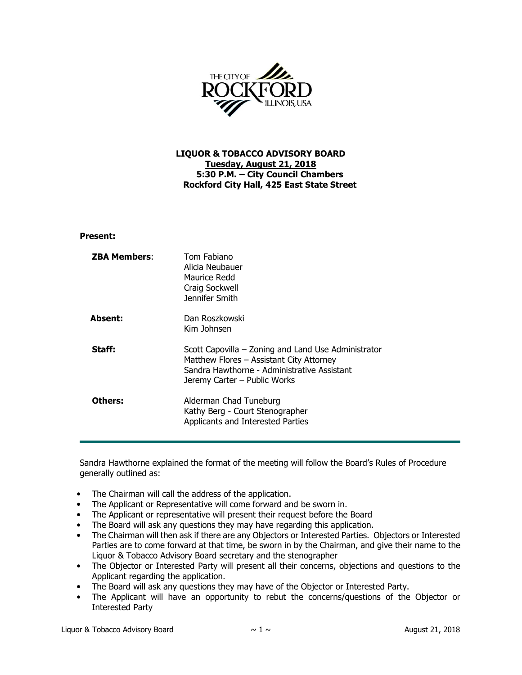

## LIQUOR & TOBACCO ADVISORY BOARD Tuesday, August 21, 2018 5:30 P.M. – City Council Chambers Rockford City Hall, 425 East State Street

## Present:

| <b>ZBA Members:</b> | Tom Fabiano<br>Alicia Neubauer<br>Maurice Redd<br>Craig Sockwell<br>Jennifer Smith                                                                                             |
|---------------------|--------------------------------------------------------------------------------------------------------------------------------------------------------------------------------|
| <b>Absent:</b>      | Dan Roszkowski<br>Kim Johnsen                                                                                                                                                  |
| Staff:              | Scott Capovilla – Zoning and Land Use Administrator<br>Matthew Flores - Assistant City Attorney<br>Sandra Hawthorne - Administrative Assistant<br>Jeremy Carter - Public Works |
| Others:             | Alderman Chad Tuneburg<br>Kathy Berg - Court Stenographer<br>Applicants and Interested Parties                                                                                 |

Sandra Hawthorne explained the format of the meeting will follow the Board's Rules of Procedure generally outlined as:

- The Chairman will call the address of the application.
- The Applicant or Representative will come forward and be sworn in.
- The Applicant or representative will present their request before the Board
- The Board will ask any questions they may have regarding this application.
- The Chairman will then ask if there are any Objectors or Interested Parties. Objectors or Interested Parties are to come forward at that time, be sworn in by the Chairman, and give their name to the Liquor & Tobacco Advisory Board secretary and the stenographer
- The Objector or Interested Party will present all their concerns, objections and questions to the Applicant regarding the application.
- The Board will ask any questions they may have of the Objector or Interested Party.
- The Applicant will have an opportunity to rebut the concerns/questions of the Objector or Interested Party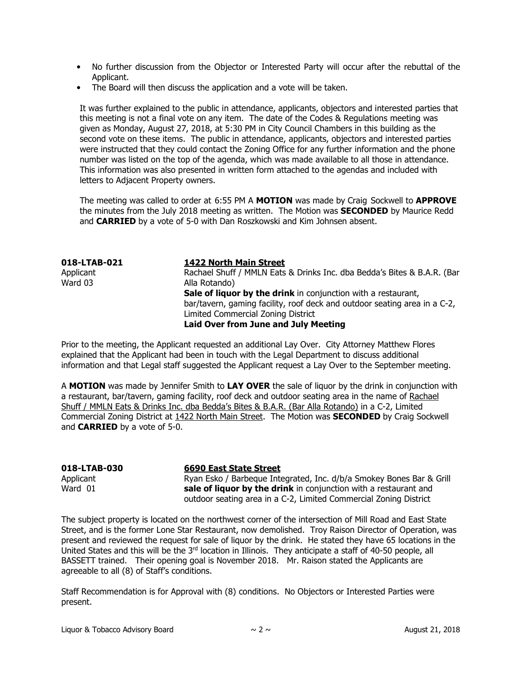- No further discussion from the Objector or Interested Party will occur after the rebuttal of the Applicant.
- The Board will then discuss the application and a vote will be taken.

It was further explained to the public in attendance, applicants, objectors and interested parties that this meeting is not a final vote on any item. The date of the Codes & Regulations meeting was given as Monday, August 27, 2018, at 5:30 PM in City Council Chambers in this building as the second vote on these items. The public in attendance, applicants, objectors and interested parties were instructed that they could contact the Zoning Office for any further information and the phone number was listed on the top of the agenda, which was made available to all those in attendance. This information was also presented in written form attached to the agendas and included with letters to Adjacent Property owners.

The meeting was called to order at 6:55 PM A MOTION was made by Craig Sockwell to APPROVE the minutes from the July 2018 meeting as written. The Motion was **SECONDED** by Maurice Redd and **CARRIED** by a vote of 5-0 with Dan Roszkowski and Kim Johnsen absent.

| <b>1422 North Main Street</b>                                             |
|---------------------------------------------------------------------------|
| Rachael Shuff / MMLN Eats & Drinks Inc. dba Bedda's Bites & B.A.R. (Bar   |
| Alla Rotando)                                                             |
| Sale of liquor by the drink in conjunction with a restaurant,             |
| bar/tavern, gaming facility, roof deck and outdoor seating area in a C-2, |
| Limited Commercial Zoning District                                        |
| <b>Laid Over from June and July Meeting</b>                               |
|                                                                           |

Prior to the meeting, the Applicant requested an additional Lay Over. City Attorney Matthew Flores explained that the Applicant had been in touch with the Legal Department to discuss additional information and that Legal staff suggested the Applicant request a Lay Over to the September meeting.

A MOTION was made by Jennifer Smith to LAY OVER the sale of liquor by the drink in conjunction with a restaurant, bar/tavern, gaming facility, roof deck and outdoor seating area in the name of Rachael Shuff / MMLN Eats & Drinks Inc. dba Bedda's Bites & B.A.R. (Bar Alla Rotando) in a C-2, Limited Commercial Zoning District at 1422 North Main Street. The Motion was SECONDED by Craig Sockwell and CARRIED by a vote of 5-0.

| 018-LTAB-030 | <b>6690 East State Street</b>                                        |
|--------------|----------------------------------------------------------------------|
| Applicant    | Ryan Esko / Barbeque Integrated, Inc. d/b/a Smokey Bones Bar & Grill |
| Ward 01      | sale of liquor by the drink in conjunction with a restaurant and     |
|              | outdoor seating area in a C-2, Limited Commercial Zoning District    |

The subject property is located on the northwest corner of the intersection of Mill Road and East State Street, and is the former Lone Star Restaurant, now demolished. Troy Raison Director of Operation, was present and reviewed the request for sale of liquor by the drink. He stated they have 65 locations in the United States and this will be the 3rd location in Illinois. They anticipate a staff of 40-50 people, all BASSETT trained. Their opening goal is November 2018. Mr. Raison stated the Applicants are agreeable to all (8) of Staff's conditions.

Staff Recommendation is for Approval with (8) conditions. No Objectors or Interested Parties were present.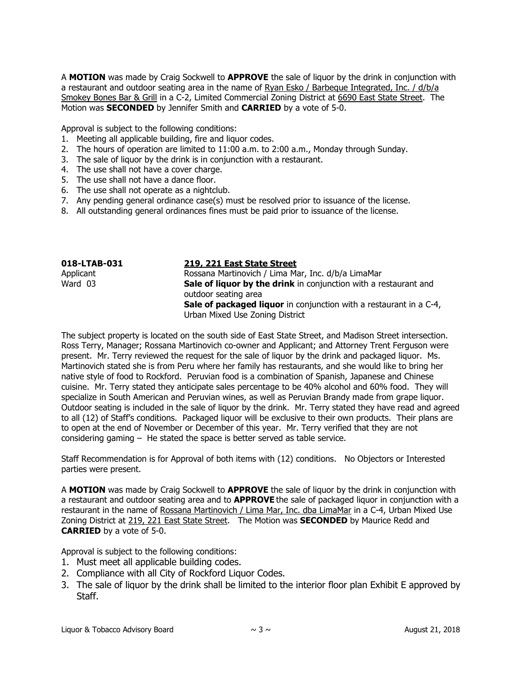A MOTION was made by Craig Sockwell to APPROVE the sale of liguor by the drink in conjunction with a restaurant and outdoor seating area in the name of Ryan Esko / Barbeque Integrated, Inc. / d/b/a Smokey Bones Bar & Grill in a C-2, Limited Commercial Zoning District at 6690 East State Street. The Motion was SECONDED by Jennifer Smith and CARRIED by a vote of 5-0.

Approval is subject to the following conditions:

- 1. Meeting all applicable building, fire and liquor codes.
- 2. The hours of operation are limited to 11:00 a.m. to 2:00 a.m., Monday through Sunday.
- 3. The sale of liquor by the drink is in conjunction with a restaurant.
- 4. The use shall not have a cover charge.
- 5. The use shall not have a dance floor.
- 6. The use shall not operate as a nightclub.
- 7. Any pending general ordinance case(s) must be resolved prior to issuance of the license.
- 8. All outstanding general ordinances fines must be paid prior to issuance of the license.

| 018-LTAB-031 | 219, 221 East State Street                                                               |
|--------------|------------------------------------------------------------------------------------------|
| Applicant    | Rossana Martinovich / Lima Mar, Inc. d/b/a LimaMar                                       |
| Ward 03      | Sale of liquor by the drink in conjunction with a restaurant and<br>outdoor seating area |
|              | <b>Sale of packaged liquor</b> in conjunction with a restaurant in a C-4,                |
|              | Urban Mixed Use Zoning District                                                          |

The subject property is located on the south side of East State Street, and Madison Street intersection. Ross Terry, Manager; Rossana Martinovich co-owner and Applicant; and Attorney Trent Ferguson were present. Mr. Terry reviewed the request for the sale of liquor by the drink and packaged liquor. Ms. Martinovich stated she is from Peru where her family has restaurants, and she would like to bring her native style of food to Rockford. Peruvian food is a combination of Spanish, Japanese and Chinese cuisine. Mr. Terry stated they anticipate sales percentage to be 40% alcohol and 60% food. They will specialize in South American and Peruvian wines, as well as Peruvian Brandy made from grape liquor. Outdoor seating is included in the sale of liquor by the drink. Mr. Terry stated they have read and agreed to all (12) of Staff's conditions. Packaged liquor will be exclusive to their own products. Their plans are to open at the end of November or December of this year. Mr. Terry verified that they are not considering gaming – He stated the space is better served as table service.

Staff Recommendation is for Approval of both items with (12) conditions. No Objectors or Interested parties were present.

A MOTION was made by Craig Sockwell to APPROVE the sale of liguor by the drink in conjunction with a restaurant and outdoor seating area and to **APPROVE** the sale of packaged liquor in conjunction with a restaurant in the name of Rossana Martinovich / Lima Mar, Inc. dba LimaMar in a C-4, Urban Mixed Use Zoning District at 219, 221 East State Street. The Motion was SECONDED by Maurice Redd and CARRIED by a vote of 5-0.

Approval is subject to the following conditions:

- 1. Must meet all applicable building codes.
- 2. Compliance with all City of Rockford Liquor Codes.
- 3. The sale of liquor by the drink shall be limited to the interior floor plan Exhibit E approved by Staff.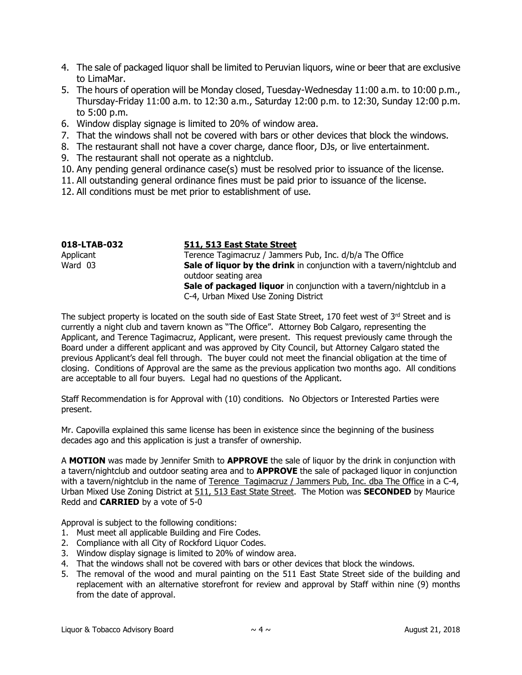- 4. The sale of packaged liquor shall be limited to Peruvian liquors, wine or beer that are exclusive to LimaMar.
- 5. The hours of operation will be Monday closed, Tuesday-Wednesday 11:00 a.m. to 10:00 p.m., Thursday-Friday 11:00 a.m. to 12:30 a.m., Saturday 12:00 p.m. to 12:30, Sunday 12:00 p.m. to 5:00 p.m.
- 6. Window display signage is limited to 20% of window area.
- 7. That the windows shall not be covered with bars or other devices that block the windows.
- 8. The restaurant shall not have a cover charge, dance floor, DJs, or live entertainment.
- 9. The restaurant shall not operate as a nightclub.
- 10. Any pending general ordinance case(s) must be resolved prior to issuance of the license.
- 11. All outstanding general ordinance fines must be paid prior to issuance of the license.
- 12. All conditions must be met prior to establishment of use.

| 018-LTAB-032 | 511, 513 East State Street                                                                            |
|--------------|-------------------------------------------------------------------------------------------------------|
| Applicant    | Terence Tagimacruz / Jammers Pub, Inc. d/b/a The Office                                               |
| Ward 03      | <b>Sale of liquor by the drink</b> in conjunction with a tavern/nightclub and<br>outdoor seating area |
|              | Sale of packaged liquor in conjunction with a tavern/nightclub in a                                   |
|              | C-4, Urban Mixed Use Zoning District                                                                  |

The subject property is located on the south side of East State Street, 170 feet west of 3<sup>rd</sup> Street and is currently a night club and tavern known as "The Office". Attorney Bob Calgaro, representing the Applicant, and Terence Tagimacruz, Applicant, were present. This request previously came through the Board under a different applicant and was approved by City Council, but Attorney Calgaro stated the previous Applicant's deal fell through. The buyer could not meet the financial obligation at the time of closing. Conditions of Approval are the same as the previous application two months ago. All conditions are acceptable to all four buyers. Legal had no questions of the Applicant.

Staff Recommendation is for Approval with (10) conditions. No Objectors or Interested Parties were present.

Mr. Capovilla explained this same license has been in existence since the beginning of the business decades ago and this application is just a transfer of ownership.

A **MOTION** was made by Jennifer Smith to **APPROVE** the sale of liquor by the drink in conjunction with a tavern/nightclub and outdoor seating area and to **APPROVE** the sale of packaged liguor in conjunction with a tavern/nightclub in the name of Terence Tagimacruz / Jammers Pub, Inc. dba The Office in a C-4, Urban Mixed Use Zoning District at 511, 513 East State Street. The Motion was SECONDED by Maurice Redd and CARRIED by a vote of 5-0

Approval is subject to the following conditions:

- 1. Must meet all applicable Building and Fire Codes.
- 2. Compliance with all City of Rockford Liquor Codes.
- 3. Window display signage is limited to 20% of window area.
- 4. That the windows shall not be covered with bars or other devices that block the windows.
- 5. The removal of the wood and mural painting on the 511 East State Street side of the building and replacement with an alternative storefront for review and approval by Staff within nine (9) months from the date of approval.